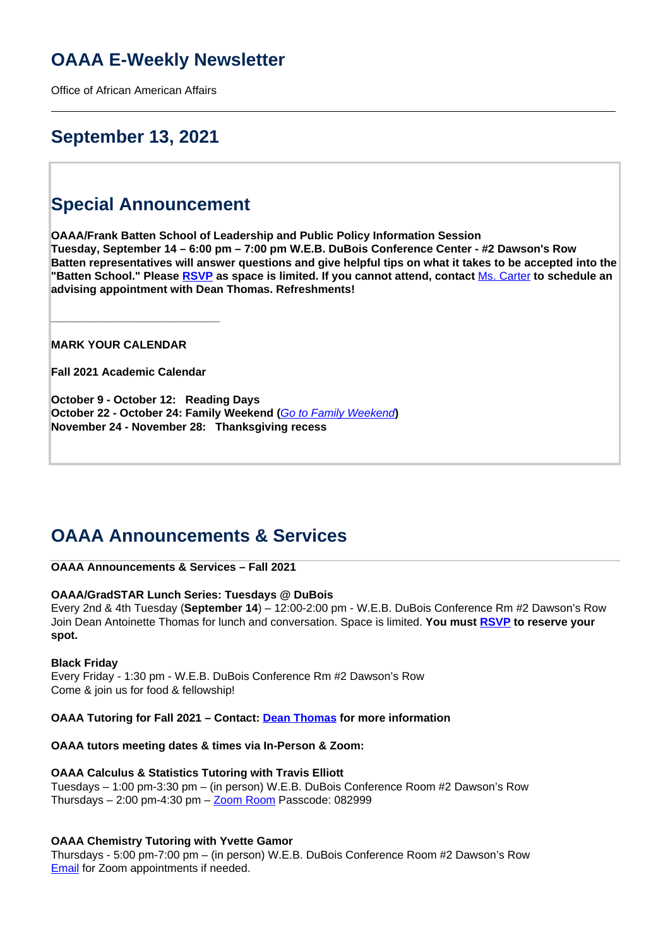# **OAAA E-Weekly Newsletter**

Office of African American Affairs

# **September 13, 2021**

# **Special Announcement**

**OAAA/Frank Batten School of Leadership and Public Policy Information Session Tuesday, September 14 – 6:00 pm – 7:00 pm W.E.B. DuBois Conference Center - #2 Dawson's Row Batten representatives will answer questions and give helpful tips on what it takes to be accepted into the "Batten School." Please [RSVP](https://doodle.com/poll/z74h2dp8hdx9yyen?utm_source=poll&utm_medium=link) as space is limited. If you cannot attend, contact** Ms. Carter **to schedule an advising appointment with Dean Thomas. Refreshments!**

**MARK YOUR CALENDAR**

**Fall 2021 Academic Calendar** 

**\_\_\_\_\_\_\_\_\_\_\_\_\_\_\_\_\_\_\_\_\_\_\_\_\_\_\_**

**October 9 - October 12: Reading Days October 22 - October 24: Family Weekend (**Go to Family Weekend**) November 24 - November 28: Thanksgiving recess**

## **OAAA Announcements & Services**

## **OAAA Announcements & Services – Fall 2021**

## **OAAA/GradSTAR Lunch Series: Tuesdays @ DuBois**

Every 2nd & 4th Tuesday (**September 14**) – 12:00-2:00 pm - W.E.B. DuBois Conference Rm #2 Dawson's Row Join Dean Antoinette Thomas for lunch and conversation. Space is limited. **You must RSVP to reserve your spot.**

## **Black Friday**

Every Friday - 1:30 pm - W.E.B. DuBois Conference Rm #2 Dawson's Row Come & join us for food & fellowship!

**OAAA Tutoring for Fall 2021 – Contact: Dean Thomas for more information**

## **OAAA tutors meeting dates & times via In-Person & Zoom:**

## **OAAA Calculus & Statistics Tutoring with Travis Elliott**

Tuesdays – 1:00 pm-3:30 pm – (in person) W.E.B. DuBois Conference Room #2 Dawson's Row Thursdays  $-2:00$  pm-4:30 pm  $-\underline{Zoom}$  Room Passcode: 082999

## **OAAA Chemistry Tutoring with Yvette Gamor**

Thursdays - 5:00 pm-7:00 pm – (in person) W.E.B. DuBois Conference Room #2 Dawson's Row Email for Zoom appointments if needed.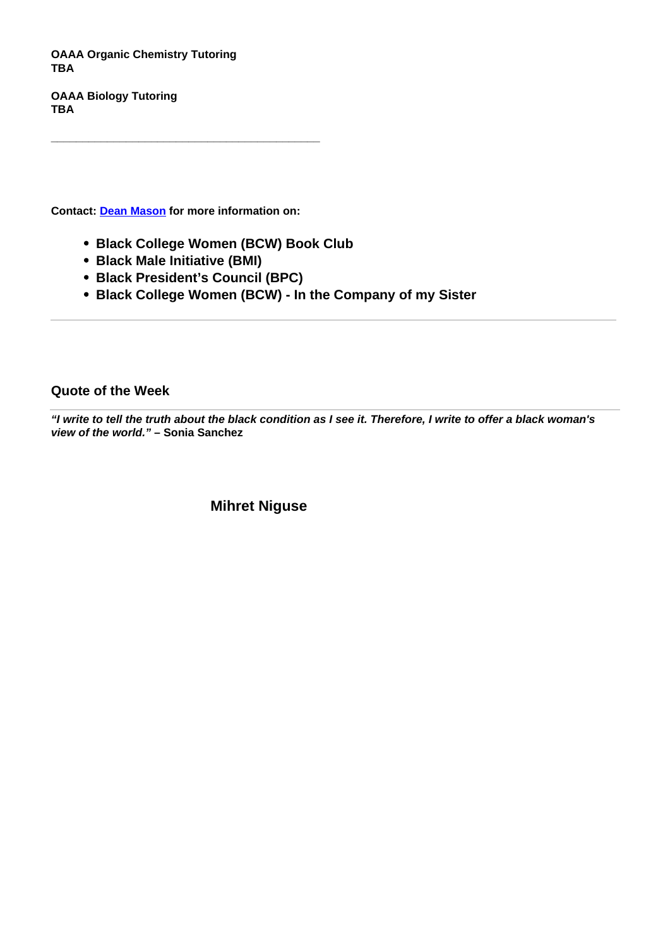**OAAA Organic Chemistry Tutoring TBA**

**OAAA Biology Tutoring TBA**

**Contact: Dean Mason for more information on:** 

**\_\_\_\_\_\_\_\_\_\_\_\_\_\_\_\_\_\_\_\_\_\_\_\_\_\_\_\_\_\_\_\_\_\_\_\_\_\_\_\_\_\_\_**

- **Black College Women (BCW) Book Club**
- **Black Male Initiative (BMI)**
- **Black President's Council (BPC)**
- **Black College Women (BCW) In the Company of my Sister**

**Quote of the Week**

**"I write to tell the truth about the black condition as I see it. Therefore, I write to offer a black woman's view of the world." – Sonia Sanchez**

**Mihret Niguse**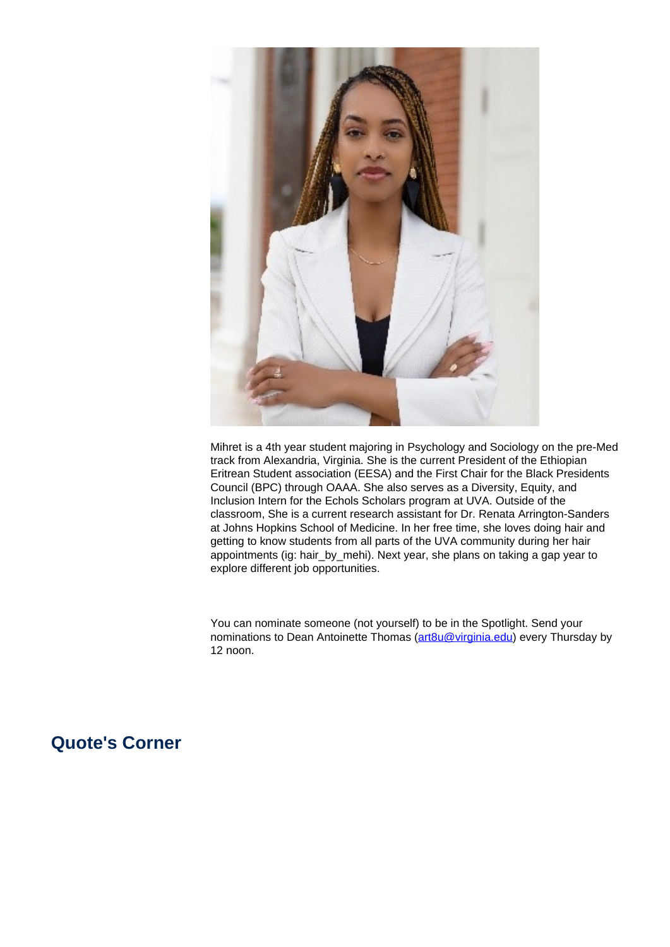

Mihret is a 4th year student majoring in Psychology and Sociology on the pre-Med track from Alexandria, Virginia. She is the current President of the Ethiopian Eritrean Student association (EESA) and the First Chair for the Black Presidents Council (BPC) through OAAA. She also serves as a Diversity, Equity, and Inclusion Intern for the Echols Scholars program at UVA. Outside of the classroom, She is a current research assistant for Dr. Renata Arrington-Sanders at Johns Hopkins School of Medicine. In her free time, she loves doing hair and getting to know students from all parts of the UVA community during her hair appointments (ig: hair\_by\_mehi). Next year, she plans on taking a gap year to explore different job opportunities.

You can nominate someone (not yourself) to be in the Spotlight. Send your nominations to Dean Antoinette Thomas (art8u@virginia.edu) every Thursday by 12 noon.

## **Quote's Corner**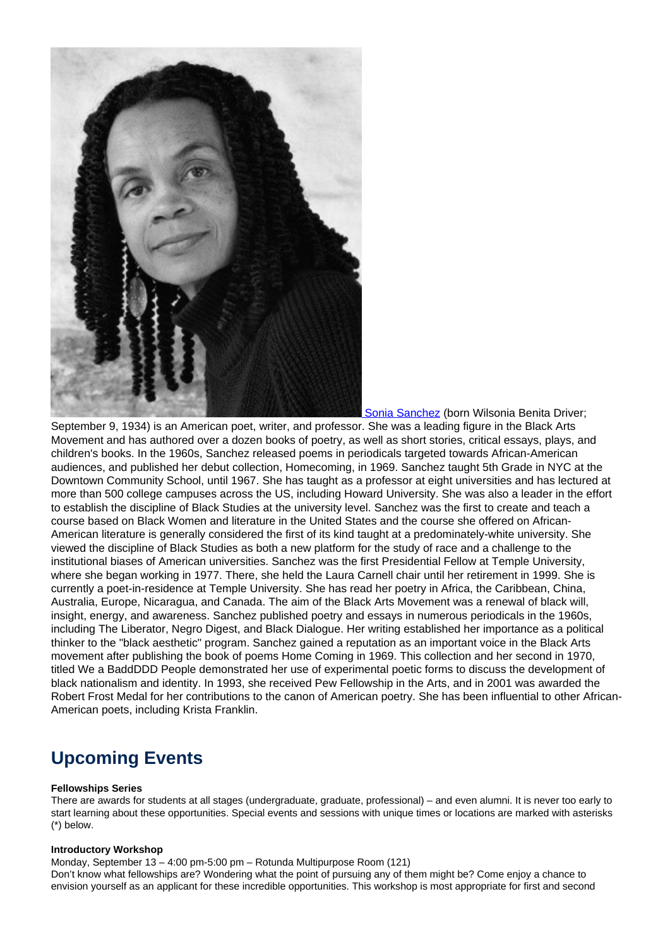

Sonia Sanchez (born Wilsonia Benita Driver;

September 9, 1934) is an American poet, writer, and professor. She was a leading figure in the Black Arts Movement and has authored over a dozen books of poetry, as well as short stories, critical essays, plays, and children's books. In the 1960s, Sanchez released poems in periodicals targeted towards African-American audiences, and published her debut collection, Homecoming, in 1969. Sanchez taught 5th Grade in NYC at the Downtown Community School, until 1967. She has taught as a professor at eight universities and has lectured at more than 500 college campuses across the US, including Howard University. She was also a leader in the effort to establish the discipline of Black Studies at the university level. Sanchez was the first to create and teach a course based on Black Women and literature in the United States and the course she offered on African-American literature is generally considered the first of its kind taught at a predominately-white university. She viewed the discipline of Black Studies as both a new platform for the study of race and a challenge to the institutional biases of American universities. Sanchez was the first Presidential Fellow at Temple University, where she began working in 1977. There, she held the Laura Carnell chair until her retirement in 1999. She is currently a poet-in-residence at Temple University. She has read her poetry in Africa, the Caribbean, China, Australia, Europe, Nicaragua, and Canada. The aim of the Black Arts Movement was a renewal of black will, insight, energy, and awareness. Sanchez published poetry and essays in numerous periodicals in the 1960s, including The Liberator, Negro Digest, and Black Dialogue. Her writing established her importance as a political thinker to the "black aesthetic" program. Sanchez gained a reputation as an important voice in the Black Arts movement after publishing the book of poems Home Coming in 1969. This collection and her second in 1970, titled We a BaddDDD People demonstrated her use of experimental poetic forms to discuss the development of black nationalism and identity. In 1993, she received Pew Fellowship in the Arts, and in 2001 was awarded the Robert Frost Medal for her contributions to the canon of American poetry. She has been influential to other African-American poets, including Krista Franklin.

# **Upcoming Events**

#### **Fellowships Series**

There are awards for students at all stages (undergraduate, graduate, professional) – and even alumni. It is never too early to start learning about these opportunities. Special events and sessions with unique times or locations are marked with asterisks (\*) below.

#### **Introductory Workshop**

Monday, September 13 – 4:00 pm-5:00 pm – Rotunda Multipurpose Room (121)

Don't know what fellowships are? Wondering what the point of pursuing any of them might be? Come enjoy a chance to envision yourself as an applicant for these incredible opportunities. This workshop is most appropriate for first and second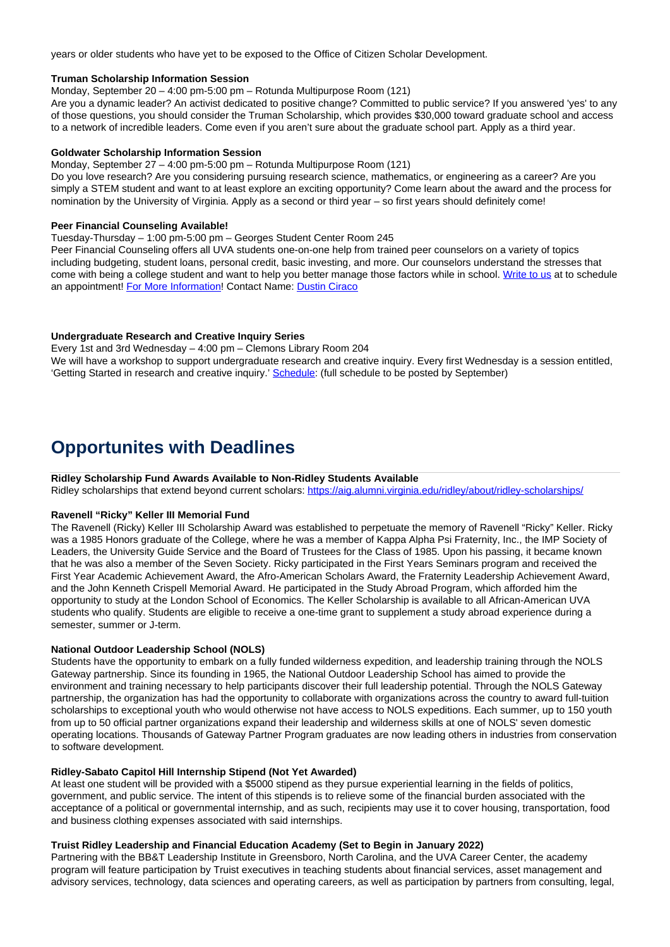years or older students who have yet to be exposed to the Office of Citizen Scholar Development.

#### **Truman Scholarship Information Session**

Monday, September 20 – 4:00 pm-5:00 pm – Rotunda Multipurpose Room (121)

Are you a dynamic leader? An activist dedicated to positive change? Committed to public service? If you answered 'yes' to any of those questions, you should consider the Truman Scholarship, which provides \$30,000 toward graduate school and access to a network of incredible leaders. Come even if you aren't sure about the graduate school part. Apply as a third year.

#### **Goldwater Scholarship Information Session**

Monday, September 27 – 4:00 pm-5:00 pm – Rotunda Multipurpose Room (121)

Do you love research? Are you considering pursuing research science, mathematics, or engineering as a career? Are you simply a STEM student and want to at least explore an exciting opportunity? Come learn about the award and the process for nomination by the University of Virginia. Apply as a second or third year – so first years should definitely come!

#### **Peer Financial Counseling Available!**

Tuesday-Thursday – 1:00 pm-5:00 pm – Georges Student Center Room 245

Peer Financial Counseling offers all UVA students one-on-one help from trained peer counselors on a variety of topics including budgeting, student loans, personal credit, basic investing, and more. Our counselors understand the stresses that come with being a college student and want to help you better manage those factors while in school. Write to us at to schedule an appointment! For More Information! Contact Name: Dustin Ciraco

#### **Undergraduate Research and Creative Inquiry Series**

Every 1st and 3rd Wednesday – 4:00 pm – Clemons Library Room 204 We will have a workshop to support undergraduate research and creative inquiry. Every first Wednesday is a session entitled, 'Getting Started in research and creative inquiry.' Schedule: (full schedule to be posted by September)

# **Opportunites with Deadlines**

#### **Ridley Scholarship Fund Awards Available to Non-Ridley Students Available**

Ridley scholarships that extend beyond current scholars: https://aig.alumni.virginia.edu/ridley/about/ridley-scholarships/

### **Ravenell "Ricky" Keller III Memorial Fund**

The Ravenell (Ricky) Keller III Scholarship Award was established to perpetuate the memory of Ravenell "Ricky" Keller. Ricky was a 1985 Honors graduate of the College, where he was a member of Kappa Alpha Psi Fraternity, Inc., the IMP Society of Leaders, the University Guide Service and the Board of Trustees for the Class of 1985. Upon his passing, it became known that he was also a member of the Seven Society. Ricky participated in the First Years Seminars program and received the First Year Academic Achievement Award, the Afro-American Scholars Award, the Fraternity Leadership Achievement Award, and the John Kenneth Crispell Memorial Award. He participated in the Study Abroad Program, which afforded him the opportunity to study at the London School of Economics. The Keller Scholarship is available to all African-American UVA students who qualify. Students are eligible to receive a one-time grant to supplement a study abroad experience during a semester, summer or J-term.

#### **National Outdoor Leadership School (NOLS)**

Students have the opportunity to embark on a fully funded wilderness expedition, and leadership training through the NOLS Gateway partnership. Since its founding in 1965, the National Outdoor Leadership School has aimed to provide the environment and training necessary to help participants discover their full leadership potential. Through the NOLS Gateway partnership, the organization has had the opportunity to collaborate with organizations across the country to award full-tuition scholarships to exceptional youth who would otherwise not have access to NOLS expeditions. Each summer, up to 150 youth from up to 50 official partner organizations expand their leadership and wilderness skills at one of NOLS' seven domestic operating locations. Thousands of Gateway Partner Program graduates are now leading others in industries from conservation to software development.

#### **Ridley-Sabato Capitol Hill Internship Stipend (Not Yet Awarded)**

At least one student will be provided with a \$5000 stipend as they pursue experiential learning in the fields of politics, government, and public service. The intent of this stipends is to relieve some of the financial burden associated with the acceptance of a political or governmental internship, and as such, recipients may use it to cover housing, transportation, food and business clothing expenses associated with said internships.

#### **Truist Ridley Leadership and Financial Education Academy (Set to Begin in January 2022)**

Partnering with the BB&T Leadership Institute in Greensboro, North Carolina, and the UVA Career Center, the academy program will feature participation by Truist executives in teaching students about financial services, asset management and advisory services, technology, data sciences and operating careers, as well as participation by partners from consulting, legal,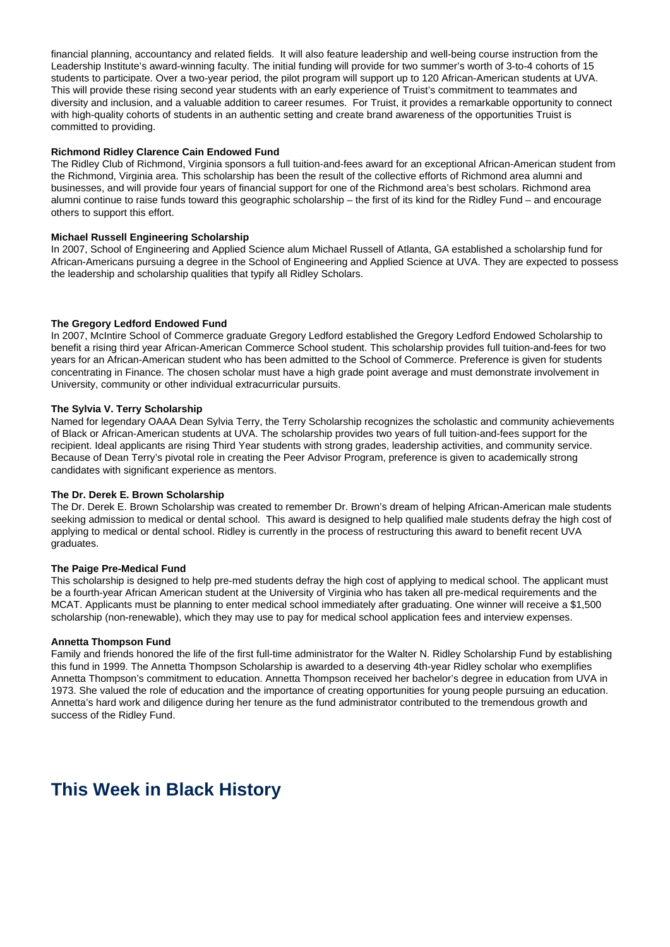financial planning, accountancy and related fields. It will also feature leadership and well-being course instruction from the Leadership Institute's award-winning faculty. The initial funding will provide for two summer's worth of 3-to-4 cohorts of 15 students to participate. Over a two-year period, the pilot program will support up to 120 African-American students at UVA. This will provide these rising second year students with an early experience of Truist's commitment to teammates and diversity and inclusion, and a valuable addition to career resumes. For Truist, it provides a remarkable opportunity to connect with high-quality cohorts of students in an authentic setting and create brand awareness of the opportunities Truist is committed to providing.

#### **Richmond Ridley Clarence Cain Endowed Fund**

The Ridley Club of Richmond, Virginia sponsors a full tuition-and-fees award for an exceptional African-American student from the Richmond, Virginia area. This scholarship has been the result of the collective efforts of Richmond area alumni and businesses, and will provide four years of financial support for one of the Richmond area's best scholars. Richmond area alumni continue to raise funds toward this geographic scholarship – the first of its kind for the Ridley Fund – and encourage others to support this effort.

#### **Michael Russell Engineering Scholarship**

In 2007, School of Engineering and Applied Science alum Michael Russell of Atlanta, GA established a scholarship fund for African-Americans pursuing a degree in the School of Engineering and Applied Science at UVA. They are expected to possess the leadership and scholarship qualities that typify all Ridley Scholars.

#### **The Gregory Ledford Endowed Fund**

In 2007, McIntire School of Commerce graduate Gregory Ledford established the Gregory Ledford Endowed Scholarship to benefit a rising third year African-American Commerce School student. This scholarship provides full tuition-and-fees for two years for an African-American student who has been admitted to the School of Commerce. Preference is given for students concentrating in Finance. The chosen scholar must have a high grade point average and must demonstrate involvement in University, community or other individual extracurricular pursuits.

#### **The Sylvia V. Terry Scholarship**

Named for legendary OAAA Dean Sylvia Terry, the Terry Scholarship recognizes the scholastic and community achievements of Black or African-American students at UVA. The scholarship provides two years of full tuition-and-fees support for the recipient. Ideal applicants are rising Third Year students with strong grades, leadership activities, and community service. Because of Dean Terry's pivotal role in creating the Peer Advisor Program, preference is given to academically strong candidates with significant experience as mentors.

#### **The Dr. Derek E. Brown Scholarship**

The Dr. Derek E. Brown Scholarship was created to remember Dr. Brown's dream of helping African-American male students seeking admission to medical or dental school. This award is designed to help qualified male students defray the high cost of applying to medical or dental school. Ridley is currently in the process of restructuring this award to benefit recent UVA graduates.

#### **The Paige Pre-Medical Fund**

This scholarship is designed to help pre-med students defray the high cost of applying to medical school. The applicant must be a fourth-year African American student at the University of Virginia who has taken all pre-medical requirements and the MCAT. Applicants must be planning to enter medical school immediately after graduating. One winner will receive a \$1,500 scholarship (non-renewable), which they may use to pay for medical school application fees and interview expenses.

#### **Annetta Thompson Fund**

Family and friends honored the life of the first full-time administrator for the Walter N. Ridley Scholarship Fund by establishing this fund in 1999. The Annetta Thompson Scholarship is awarded to a deserving 4th-year Ridley scholar who exemplifies Annetta Thompson's commitment to education. Annetta Thompson received her bachelor's degree in education from UVA in 1973. She valued the role of education and the importance of creating opportunities for young people pursuing an education. Annetta's hard work and diligence during her tenure as the fund administrator contributed to the tremendous growth and success of the Ridley Fund.

## **This Week in Black History**